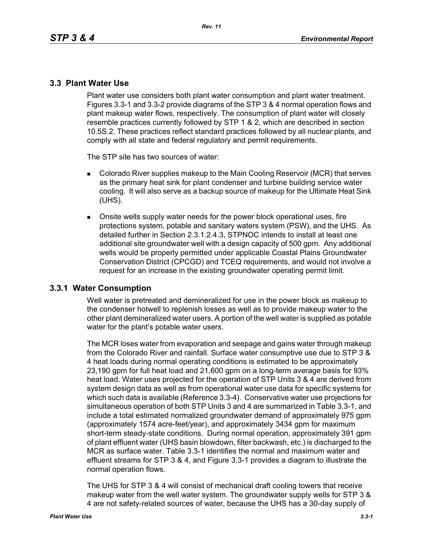# **3.3 Plant Water Use**

Plant water use considers both plant water consumption and plant water treatment. Figures 3.3-1 and 3.3-2 provide diagrams of the STP 3 & 4 normal operation flows and plant makeup water flows, respectively. The consumption of plant water will closely resemble practices currently followed by STP 1 & 2, which are described in section 10.5S.2. These practices reflect standard practices followed by all nuclear plants, and comply with all state and federal regulatory and permit requirements.

The STP site has two sources of water:

- **Colorado River supplies makeup to the Main Cooling Reservoir (MCR) that serves** as the primary heat sink for plant condenser and turbine building service water cooling. It will also serve as a backup source of makeup for the Ultimate Heat Sink (UHS).
- Onsite wells supply water needs for the power block operational uses, fire protections system, potable and sanitary waters system (PSW), and the UHS. As detailed further in Section 2.3.1.2.4.3, STPNOC intends to install at least one additional site groundwater well with a design capacity of 500 gpm. Any additional wells would be properly permitted under applicable Coastal Plains Groundwater Conservation District (CPCGD) and TCEQ requirements, and would not involve a request for an increase in the existing groundwater operating permit limit.

## **3.3.1 Water Consumption**

Well water is pretreated and demineralized for use in the power block as makeup to the condenser hotwell to replenish losses as well as to provide makeup water to the other plant demineralized water users. A portion of the well water is supplied as potable water for the plant's potable water users.

The MCR loses water from evaporation and seepage and gains water through makeup from the Colorado River and rainfall. Surface water consumptive use due to STP 3 & 4 heat loads during normal operating conditions is estimated to be approximately 23,190 gpm for full heat load and 21,600 gpm on a long-term average basis for 93% heat load. Water uses projected for the operation of STP Units 3 & 4 are derived from system design data as well as from operational water use data for specific systems for which such data is available (Reference 3.3-4). Conservative water use projections for simultaneous operation of both STP Units 3 and 4 are summarized in Table 3.3-1, and include a total estimated normalized groundwater demand of approximately 975 gpm (approximately 1574 acre-feet/year), and approximately 3434 gpm for maximum short-term steady-state conditions. During normal operation, approximately 391 gpm of plant effluent water (UHS basin blowdown, filter backwash, etc.) is discharged to the MCR as surface water. Table 3.3-1 identifies the normal and maximum water and effluent streams for STP 3 & 4, and Figure 3.3-1 provides a diagram to illustrate the normal operation flows.

The UHS for STP 3 & 4 will consist of mechanical draft cooling towers that receive makeup water from the well water system. The groundwater supply wells for STP 3 & 4 are not safety-related sources of water, because the UHS has a 30-day supply of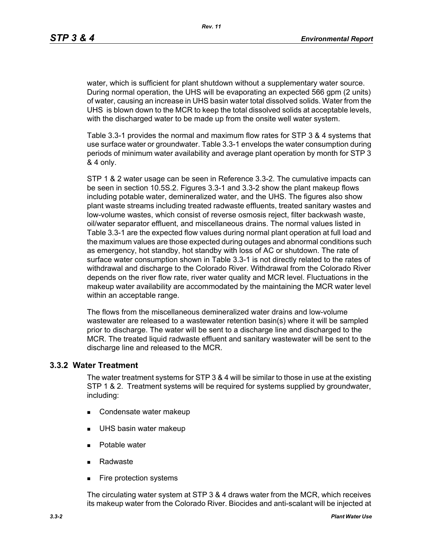water, which is sufficient for plant shutdown without a supplementary water source. During normal operation, the UHS will be evaporating an expected 566 gpm (2 units) of water, causing an increase in UHS basin water total dissolved solids. Water from the UHS is blown down to the MCR to keep the total dissolved solids at acceptable levels, with the discharged water to be made up from the onsite well water system.

Table 3.3-1 provides the normal and maximum flow rates for STP 3 & 4 systems that use surface water or groundwater. Table 3.3-1 envelops the water consumption during periods of minimum water availability and average plant operation by month for STP 3 & 4 only.

STP 1 & 2 water usage can be seen in Reference 3.3-2. The cumulative impacts can be seen in section 10.5S.2. Figures 3.3-1 and 3.3-2 show the plant makeup flows including potable water, demineralized water, and the UHS. The figures also show plant waste streams including treated radwaste effluents, treated sanitary wastes and low-volume wastes, which consist of reverse osmosis reject, filter backwash waste, oil/water separator effluent, and miscellaneous drains. The normal values listed in Table 3.3-1 are the expected flow values during normal plant operation at full load and the maximum values are those expected during outages and abnormal conditions such as emergency, hot standby, hot standby with loss of AC or shutdown. The rate of surface water consumption shown in Table 3.3-1 is not directly related to the rates of withdrawal and discharge to the Colorado River. Withdrawal from the Colorado River depends on the river flow rate, river water quality and MCR level. Fluctuations in the makeup water availability are accommodated by the maintaining the MCR water level within an acceptable range.

The flows from the miscellaneous demineralized water drains and low-volume wastewater are released to a wastewater retention basin(s) where it will be sampled prior to discharge. The water will be sent to a discharge line and discharged to the MCR. The treated liquid radwaste effluent and sanitary wastewater will be sent to the discharge line and released to the MCR.

## **3.3.2 Water Treatment**

The water treatment systems for STP 3 & 4 will be similar to those in use at the existing STP 1 & 2. Treatment systems will be required for systems supplied by groundwater, including:

- Condensate water makeup
- **UHS basin water makeup**
- **Potable water**
- Radwaste
- **Fire protection systems**

The circulating water system at STP 3 & 4 draws water from the MCR, which receives its makeup water from the Colorado River. Biocides and anti-scalant will be injected at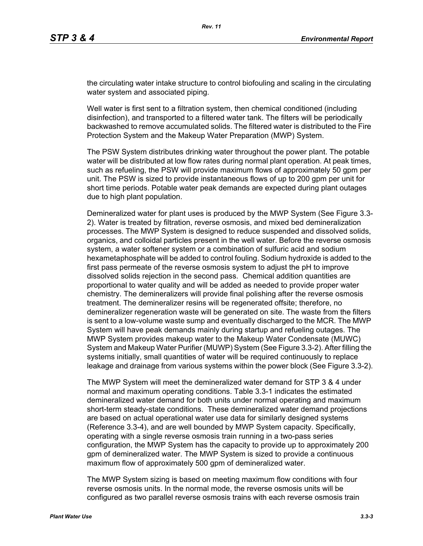the circulating water intake structure to control biofouling and scaling in the circulating water system and associated piping.

Well water is first sent to a filtration system, then chemical conditioned (including disinfection), and transported to a filtered water tank. The filters will be periodically backwashed to remove accumulated solids. The filtered water is distributed to the Fire Protection System and the Makeup Water Preparation (MWP) System.

The PSW System distributes drinking water throughout the power plant. The potable water will be distributed at low flow rates during normal plant operation. At peak times, such as refueling, the PSW will provide maximum flows of approximately 50 gpm per unit. The PSW is sized to provide instantaneous flows of up to 200 gpm per unit for short time periods. Potable water peak demands are expected during plant outages due to high plant population.

Demineralized water for plant uses is produced by the MWP System (See Figure 3.3- 2). Water is treated by filtration, reverse osmosis, and mixed bed demineralization processes. The MWP System is designed to reduce suspended and dissolved solids, organics, and colloidal particles present in the well water. Before the reverse osmosis system, a water softener system or a combination of sulfuric acid and sodium hexametaphosphate will be added to control fouling. Sodium hydroxide is added to the first pass permeate of the reverse osmosis system to adjust the pH to improve dissolved solids rejection in the second pass. Chemical addition quantities are proportional to water quality and will be added as needed to provide proper water chemistry. The demineralizers will provide final polishing after the reverse osmosis treatment. The demineralizer resins will be regenerated offsite; therefore, no demineralizer regeneration waste will be generated on site. The waste from the filters is sent to a low-volume waste sump and eventually discharged to the MCR. The MWP System will have peak demands mainly during startup and refueling outages. The MWP System provides makeup water to the Makeup Water Condensate (MUWC) System and Makeup Water Purifier (MUWP) System (See Figure 3.3-2). After filling the systems initially, small quantities of water will be required continuously to replace leakage and drainage from various systems within the power block (See Figure 3.3-2).

The MWP System will meet the demineralized water demand for STP 3 & 4 under normal and maximum operating conditions. Table 3.3-1 indicates the estimated demineralized water demand for both units under normal operating and maximum short-term steady-state conditions. These demineralized water demand projections are based on actual operational water use data for similarly designed systems (Reference 3.3-4), and are well bounded by MWP System capacity. Specifically, operating with a single reverse osmosis train running in a two-pass series configuration, the MWP System has the capacity to provide up to approximately 200 gpm of demineralized water. The MWP System is sized to provide a continuous maximum flow of approximately 500 gpm of demineralized water.

The MWP System sizing is based on meeting maximum flow conditions with four reverse osmosis units. In the normal mode, the reverse osmosis units will be configured as two parallel reverse osmosis trains with each reverse osmosis train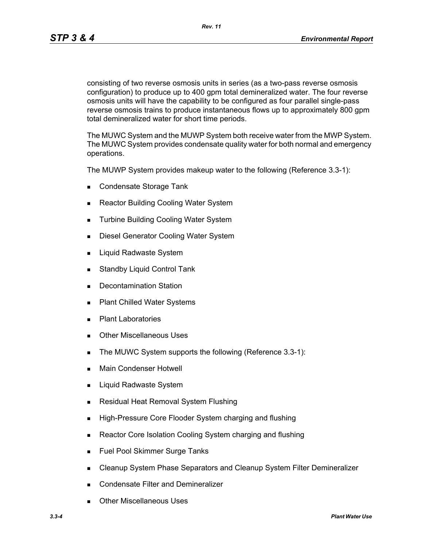*Rev. 11*

consisting of two reverse osmosis units in series (as a two-pass reverse osmosis configuration) to produce up to 400 gpm total demineralized water. The four reverse osmosis units will have the capability to be configured as four parallel single-pass reverse osmosis trains to produce instantaneous flows up to approximately 800 gpm total demineralized water for short time periods.

The MUWC System and the MUWP System both receive water from the MWP System. The MUWC System provides condensate quality water for both normal and emergency operations.

The MUWP System provides makeup water to the following (Reference 3.3-1):

- Condensate Storage Tank
- Reactor Building Cooling Water System
- **Turbine Building Cooling Water System**
- **Diesel Generator Cooling Water System**
- **Liquid Radwaste System**
- **Standby Liquid Control Tank**
- **Decontamination Station**
- Plant Chilled Water Systems
- **Plant Laboratories**
- **Duries** Other Miscellaneous Uses
- The MUWC System supports the following (Reference 3.3-1):
- **Main Condenser Hotwell**
- Liquid Radwaste System
- **Residual Heat Removal System Flushing**
- **High-Pressure Core Flooder System charging and flushing**
- Reactor Core Isolation Cooling System charging and flushing
- **Fuel Pool Skimmer Surge Tanks**
- **EXEC** Cleanup System Phase Separators and Cleanup System Filter Demineralizer
- **Condensate Filter and Demineralizer**
- Other Miscellaneous Uses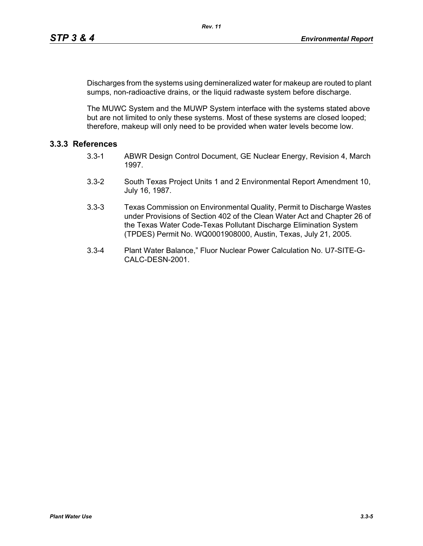Discharges from the systems using demineralized water for makeup are routed to plant sumps, non-radioactive drains, or the liquid radwaste system before discharge.

The MUWC System and the MUWP System interface with the systems stated above but are not limited to only these systems. Most of these systems are closed looped; therefore, makeup will only need to be provided when water levels become low.

# **3.3.3 References**

- 3.3-1 ABWR Design Control Document, GE Nuclear Energy, Revision 4, March 1997.
- 3.3-2 South Texas Project Units 1 and 2 Environmental Report Amendment 10, July 16, 1987.
- 3.3-3 Texas Commission on Environmental Quality, Permit to Discharge Wastes under Provisions of Section 402 of the Clean Water Act and Chapter 26 of the Texas Water Code-Texas Pollutant Discharge Elimination System (TPDES) Permit No. WQ0001908000, Austin, Texas, July 21, 2005.
- 3.3-4 Plant Water Balance," Fluor Nuclear Power Calculation No. U7-SITE-G-CALC-DESN-2001.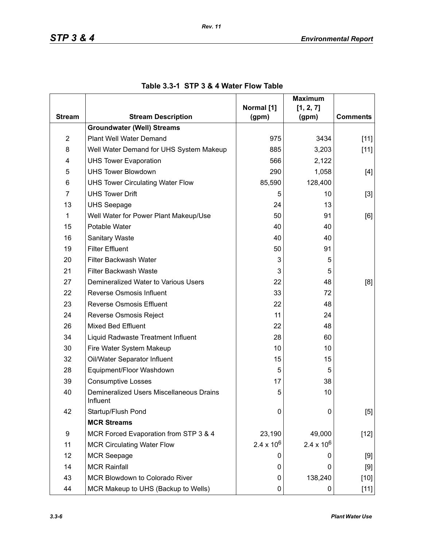|                |                                                      |                     | <b>Maximum</b>      |                 |
|----------------|------------------------------------------------------|---------------------|---------------------|-----------------|
| <b>Stream</b>  | <b>Stream Description</b>                            | Normal [1]<br>(gpm) | [1, 2, 7]<br>(gpm)  | <b>Comments</b> |
|                | <b>Groundwater (Well) Streams</b>                    |                     |                     |                 |
| $\overline{2}$ | Plant Well Water Demand                              | 975                 | 3434                | $[11]$          |
| 8              | Well Water Demand for UHS System Makeup              | 885                 | 3,203               | $[11]$          |
| 4              | <b>UHS Tower Evaporation</b>                         | 566                 | 2,122               |                 |
| 5              | <b>UHS Tower Blowdown</b>                            | 290                 | 1,058               | $[4]$           |
| 6              | <b>UHS Tower Circulating Water Flow</b>              | 85,590              | 128,400             |                 |
| $\overline{7}$ | <b>UHS Tower Drift</b>                               | 5                   | 10                  | $[3]$           |
| 13             | <b>UHS Seepage</b>                                   | 24                  | 13                  |                 |
| 1              | Well Water for Power Plant Makeup/Use                | 50                  | 91                  | [6]             |
| 15             | Potable Water                                        | 40                  | 40                  |                 |
| 16             | <b>Sanitary Waste</b>                                | 40                  | 40                  |                 |
| 19             | <b>Filter Effluent</b>                               | 50                  | 91                  |                 |
| 20             | Filter Backwash Water                                | 3                   | 5                   |                 |
| 21             | Filter Backwash Waste                                | 3                   | 5                   |                 |
| 27             | Demineralized Water to Various Users                 | 22                  | 48                  | [8]             |
| 22             | Reverse Osmosis Influent                             | 33                  | 72                  |                 |
| 23             | <b>Reverse Osmosis Effluent</b>                      | 22                  | 48                  |                 |
| 24             | Reverse Osmosis Reject                               | 11                  | 24                  |                 |
| 26             | <b>Mixed Bed Effluent</b>                            | 22                  | 48                  |                 |
| 34             | Liquid Radwaste Treatment Influent                   | 28                  | 60                  |                 |
| 30             | Fire Water System Makeup                             | 10                  | 10                  |                 |
| 32             | Oil/Water Separator Influent                         | 15                  | 15                  |                 |
| 28             | Equipment/Floor Washdown                             | 5                   | 5                   |                 |
| 39             | <b>Consumptive Losses</b>                            | 17                  | 38                  |                 |
| 40             | Demineralized Users Miscellaneous Drains<br>Influent | 5                   | 10                  |                 |
| 42             | Startup/Flush Pond                                   | 0                   | 0                   | [5]             |
|                | <b>MCR Streams</b>                                   |                     |                     |                 |
| 9              | MCR Forced Evaporation from STP 3 & 4                | 23,190              | 49,000              | $[12]$          |
| 11             | <b>MCR Circulating Water Flow</b>                    | $2.4 \times 10^{6}$ | $2.4 \times 10^{6}$ |                 |
| 12             | <b>MCR Seepage</b>                                   | O                   | 0                   | [9]             |
| 14             | <b>MCR Rainfall</b>                                  | 0                   | 0                   | $[9]$           |
| 43             | MCR Blowdown to Colorado River                       | 0                   | 138,240             | $[10]$          |
| 44             | MCR Makeup to UHS (Backup to Wells)                  | 0                   | 0                   | $[11]$          |

# **Table 3.3-1 STP 3 & 4 Water Flow Table**

*Rev. 11*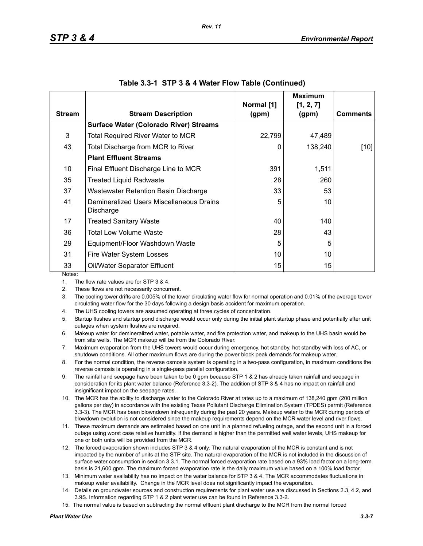|               |                                                       |                     | <b>Maximum</b>     |                 |
|---------------|-------------------------------------------------------|---------------------|--------------------|-----------------|
| <b>Stream</b> | <b>Stream Description</b>                             | Normal [1]<br>(gpm) | [1, 2, 7]<br>(gpm) | <b>Comments</b> |
|               | <b>Surface Water (Colorado River) Streams</b>         |                     |                    |                 |
| 3             | <b>Total Required River Water to MCR</b>              | 22,799              | 47,489             |                 |
| 43            | Total Discharge from MCR to River                     | 0                   | 138,240            | [10]            |
|               | <b>Plant Effluent Streams</b>                         |                     |                    |                 |
| 10            | Final Effluent Discharge Line to MCR                  | 391                 | 1,511              |                 |
| 35            | <b>Treated Liquid Radwaste</b>                        | 28                  | 260                |                 |
| 37            | Wastewater Retention Basin Discharge                  | 33                  | 53                 |                 |
| 41            | Demineralized Users Miscellaneous Drains<br>Discharge | 5                   | 10                 |                 |
| 17            | <b>Treated Sanitary Waste</b>                         | 40                  | 140                |                 |
| 36            | Total Low Volume Waste                                | 28                  | 43                 |                 |
| 29            | Equipment/Floor Washdown Waste                        | 5                   | 5                  |                 |
| 31            | Fire Water System Losses                              | 10                  | 10                 |                 |
| 33            | Oil/Water Separator Effluent                          | 15                  | 15                 |                 |
| Notes:        |                                                       |                     |                    |                 |

#### **Table 3.3-1 STP 3 & 4 Water Flow Table (Continued)**

1. The flow rate values are for STP 3 & 4.

2. These flows are not necessarily concurrent.

3. The cooling tower drifts are 0.005% of the tower circulating water flow for normal operation and 0.01% of the average tower circulating water flow for the 30 days following a design basis accident for maximum operation.

4. The UHS cooling towers are assumed operating at three cycles of concentration.

5. Startup flushes and startup pond discharge would occur only during the initial plant startup phase and potentially after unit outages when system flushes are required.

6. Makeup water for demineralized water, potable water, and fire protection water, and makeup to the UHS basin would be from site wells. The MCR makeup will be from the Colorado River.

7. Maximum evaporation from the UHS towers would occur during emergency, hot standby, hot standby with loss of AC, or shutdown conditions. All other maximum flows are during the power block peak demands for makeup water.

8. For the normal condition, the reverse osmosis system is operating in a two-pass configuration, in maximum conditions the reverse osmosis is operating in a single-pass parallel configuration.

9. The rainfall and seepage have been taken to be 0 gpm because STP 1 & 2 has already taken rainfall and seepage in consideration for its plant water balance (Reference 3.3-2). The addition of STP 3 & 4 has no impact on rainfall and insignificant impact on the seepage rates.

10. The MCR has the ability to discharge water to the Colorado River at rates up to a maximum of 138,240 gpm (200 million gallons per day) in accordance with the existing Texas Pollutant Discharge Elimination System (TPDES) permit (Reference 3.3-3). The MCR has been blowndown infrequently during the past 20 years. Makeup water to the MCR during periods of blowdown evolution is not considered since the makeup requirements depend on the MCR water level and river flows.

11. These maximum demands are estimated based on one unit in a planned refueling outage, and the second unit in a forced outage using worst case relative humidity. If the demand is higher than the permitted well water levels, UHS makeup for one or both units will be provided from the MCR.

12. The forced evaporation shown includes STP 3 & 4 only. The natural evaporation of the MCR is constant and is not impacted by the number of units at the STP site. The natural evaporation of the MCR is not included in the discussion of surface water consumption in section 3.3.1. The normal forced evaporation rate based on a 93% load factor on a long-term basis is 21,600 gpm. The maximum forced evaporation rate is the daily maximum value based on a 100% load factor.

13. Minimum water availability has no impact on the water balance for STP 3 & 4. The MCR accommodates fluctuations in makeup water availability. Change in the MCR level does not significantly impact the evaporation.

14. Details on groundwater sources and construction requirements for plant water use are discussed in Sections 2.3, 4.2, and 3.9S. Information regarding STP 1 & 2 plant water use can be found in Reference 3.3-2.

15. The normal value is based on subtracting the normal effluent plant discharge to the MCR from the normal forced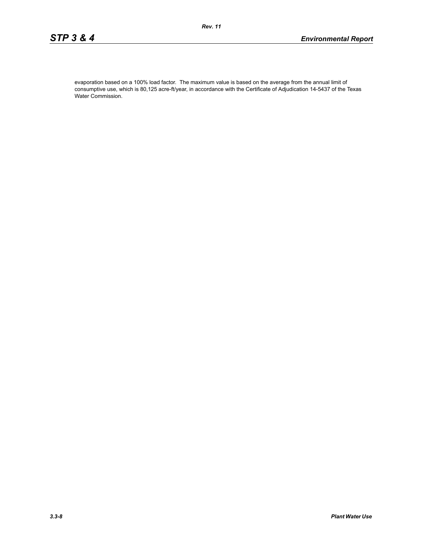evaporation based on a 100% load factor. The maximum value is based on the average from the annual limit of consumptive use, which is 80,125 acre-ft/year, in accordance with the Certificate of Adjudication 14-5437 of the Texas Water Commission.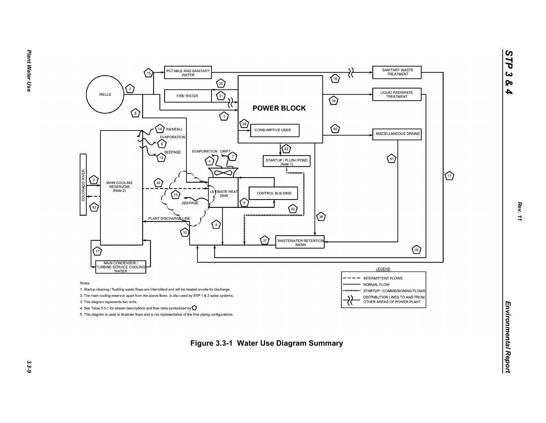

*STP 3 & 4*